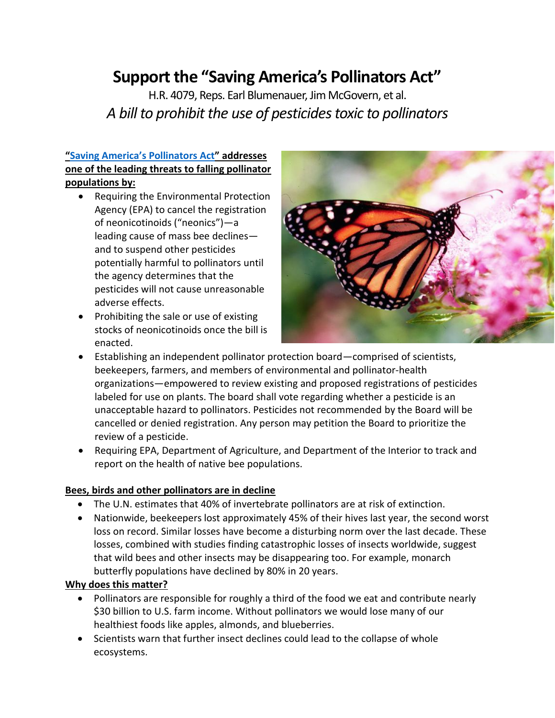# **Support the "Saving America's Pollinators Act"**

H.R. 4079, Reps. Earl Blumenauer, Jim McGovern, et al. *A bill to prohibit the use of pesticides toxic to pollinators* 

## **["Saving America's Pollinators Act"](https://blumenauer.house.gov/media-center/press-releases/blumenauer-mcgovern-introduce-legislation-save-bees) addresses one of the leading threats to falling pollinator populations by:**

- Requiring the Environmental Protection Agency (EPA) to cancel the registration of neonicotinoids ("neonics")—a leading cause of mass bee declines and to suspend other pesticides potentially harmful to pollinators until the agency determines that the pesticides will not cause unreasonable adverse effects.
- Prohibiting the sale or use of existing stocks of neonicotinoids once the bill is enacted.



- Establishing an independent pollinator protection board—comprised of scientists, beekeepers, farmers, and members of environmental and pollinator-health organizations—empowered to review existing and proposed registrations of pesticides labeled for use on plants. The board shall vote regarding whether a pesticide is an unacceptable hazard to pollinators. Pesticides not recommended by the Board will be cancelled or denied registration. Any person may petition the Board to prioritize the review of a pesticide.
- Requiring EPA, Department of Agriculture, and Department of the Interior to track and report on the health of native bee populations.

## **Bees, birds and other pollinators are in decline**

- The U.N. estimates that 40% of invertebrate pollinators are at risk of extinction.
- Nationwide, beekeepers lost approximately 45% of their hives last year, the second worst loss on record. Similar losses have become a disturbing norm over the last decade. These losses, combined with studies finding catastrophic losses of insects worldwide, suggest that wild bees and other insects may be disappearing too. For example, monarch butterfly populations have declined by 80% in 20 years.

## **Why does this matter?**

- Pollinators are responsible for roughly a third of the food we eat and contribute nearly \$30 billion to U.S. farm income. Without pollinators we would lose many of our healthiest foods like apples, almonds, and blueberries.
- Scientists warn that further insect declines could lead to the collapse of whole ecosystems.